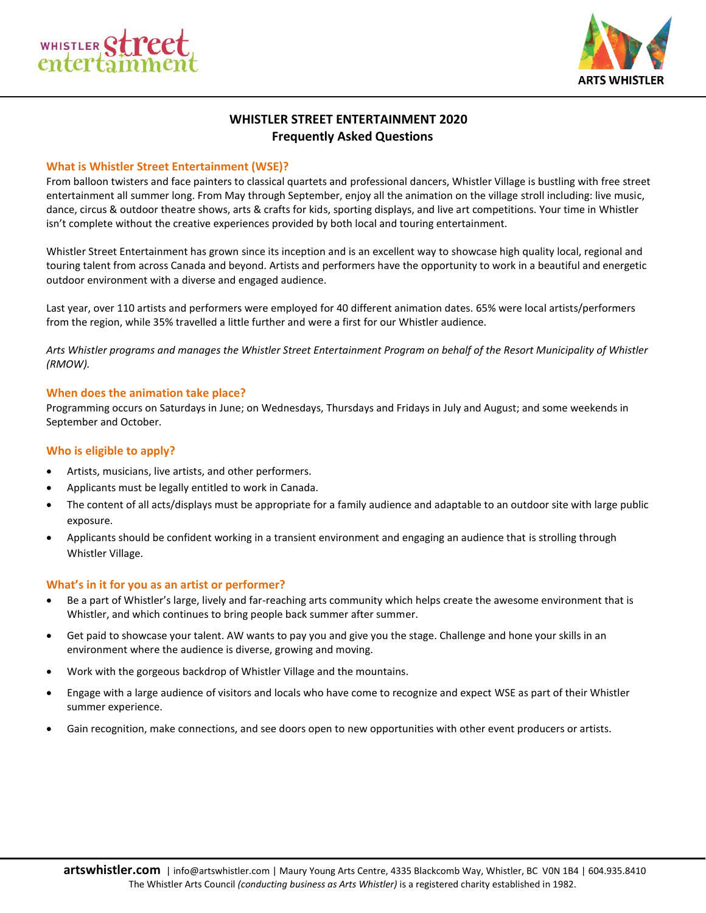



# **WHISTLER STREET ENTERTAINMENT 2020 Frequently Asked Questions**

## **What is Whistler Street Entertainment (WSE)?**

From balloon twisters and face painters to classical quartets and professional dancers, Whistler Village is bustling with free street entertainment all summer long. From May through September, enjoy all the animation on the village stroll including: live music, dance, circus & outdoor theatre shows, arts & crafts for kids, sporting displays, and live art competitions. Your time in Whistler isn't complete without the creative experiences provided by both local and touring entertainment.

Whistler Street Entertainment has grown since its inception and is an excellent way to showcase high quality local, regional and touring talent from across Canada and beyond. Artists and performers have the opportunity to work in a beautiful and energetic outdoor environment with a diverse and engaged audience.

Last year, over 110 artists and performers were employed for 40 different animation dates. 65% were local artists/performers from the region, while 35% travelled a little further and were a first for our Whistler audience.

*Arts Whistler programs and manages the Whistler Street Entertainment Program on behalf of the Resort Municipality of Whistler (RMOW).* 

## **When does the animation take place?**

Programming occurs on Saturdays in June; on Wednesdays, Thursdays and Fridays in July and August; and some weekends in September and October.

## **Who is eligible to apply?**

- Artists, musicians, live artists, and other performers.
- Applicants must be legally entitled to work in Canada.
- The content of all acts/displays must be appropriate for a family audience and adaptable to an outdoor site with large public exposure.
- Applicants should be confident working in a transient environment and engaging an audience that is strolling through Whistler Village.

## **What's in it for you as an artist or performer?**

- Be a part of Whistler's large, lively and far-reaching arts community which helps create the awesome environment that is Whistler, and which continues to bring people back summer after summer.
- Get paid to showcase your talent. AW wants to pay you and give you the stage. Challenge and hone your skills in an environment where the audience is diverse, growing and moving.
- Work with the gorgeous backdrop of Whistler Village and the mountains.
- Engage with a large audience of visitors and locals who have come to recognize and expect WSE as part of their Whistler summer experience.
- Gain recognition, make connections, and see doors open to new opportunities with other event producers or artists.